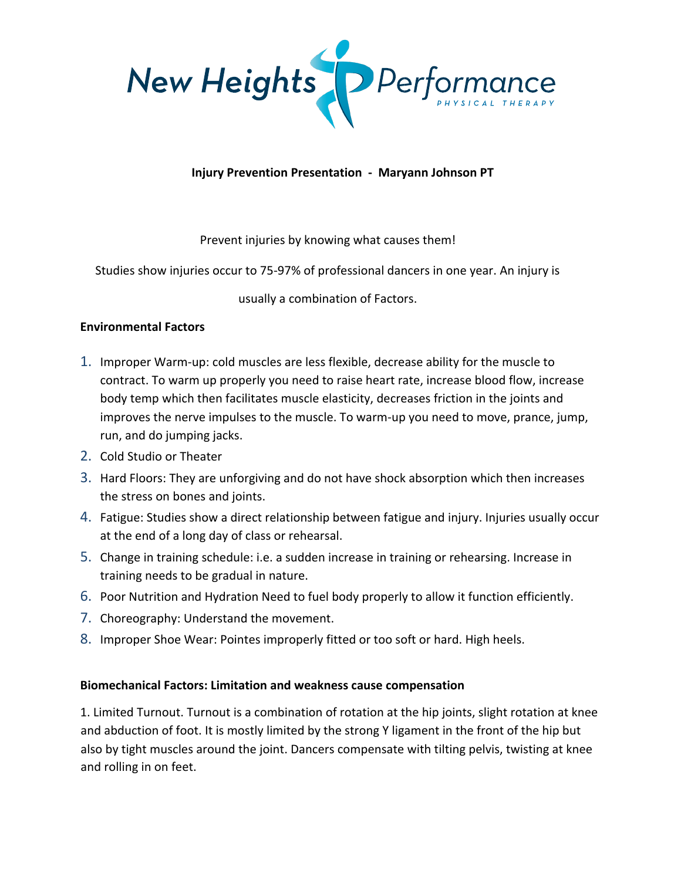

## **Injury Prevention Presentation - Maryann Johnson PT**

## Prevent injuries by knowing what causes them!

Studies show injuries occur to 75-97% of professional dancers in one year. An injury is

usually a combination of Factors.

# **Environmental Factors**

- 1. Improper Warm-up: cold muscles are less flexible, decrease ability for the muscle to contract. To warm up properly you need to raise heart rate, increase blood flow, increase body temp which then facilitates muscle elasticity, decreases friction in the joints and improves the nerve impulses to the muscle. To warm-up you need to move, prance, jump, run, and do jumping jacks.
- 2. Cold Studio or Theater
- 3. Hard Floors: They are unforgiving and do not have shock absorption which then increases the stress on bones and joints.
- 4. Fatigue: Studies show a direct relationship between fatigue and injury. Injuries usually occur at the end of a long day of class or rehearsal.
- 5. Change in training schedule: i.e. a sudden increase in training or rehearsing. Increase in training needs to be gradual in nature.
- 6. Poor Nutrition and Hydration Need to fuel body properly to allow it function efficiently.
- 7. Choreography: Understand the movement.
- 8. Improper Shoe Wear: Pointes improperly fitted or too soft or hard. High heels.

## **Biomechanical Factors: Limitation and weakness cause compensation**

1. Limited Turnout. Turnout is a combination of rotation at the hip joints, slight rotation at knee and abduction of foot. It is mostly limited by the strong Y ligament in the front of the hip but also by tight muscles around the joint. Dancers compensate with tilting pelvis, twisting at knee and rolling in on feet.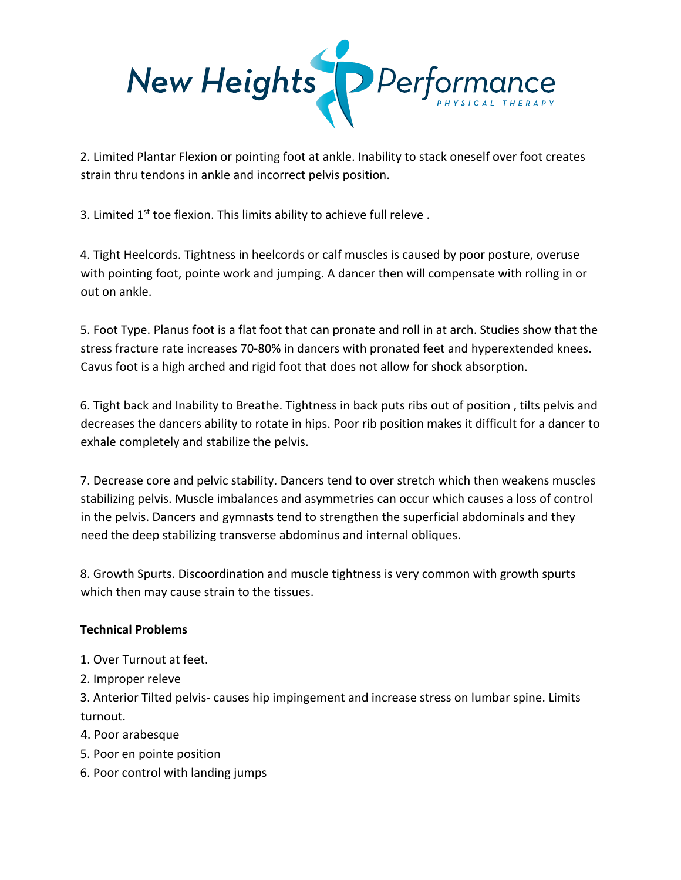

2. Limited Plantar Flexion or pointing foot at ankle. Inability to stack oneself over foot creates strain thru tendons in ankle and incorrect pelvis position.

3. Limited 1<sup>st</sup> toe flexion. This limits ability to achieve full releve.

4. Tight Heelcords. Tightness in heelcords or calf muscles is caused by poor posture, overuse with pointing foot, pointe work and jumping. A dancer then will compensate with rolling in or out on ankle.

5. Foot Type. Planus foot is a flat foot that can pronate and roll in at arch. Studies show that the stress fracture rate increases 70-80% in dancers with pronated feet and hyperextended knees. Cavus foot is a high arched and rigid foot that does not allow for shock absorption.

6. Tight back and Inability to Breathe. Tightness in back puts ribs out of position , tilts pelvis and decreases the dancers ability to rotate in hips. Poor rib position makes it difficult for a dancer to exhale completely and stabilize the pelvis.

7. Decrease core and pelvic stability. Dancers tend to over stretch which then weakens muscles stabilizing pelvis. Muscle imbalances and asymmetries can occur which causes a loss of control in the pelvis. Dancers and gymnasts tend to strengthen the superficial abdominals and they need the deep stabilizing transverse abdominus and internal obliques.

8. Growth Spurts. Discoordination and muscle tightness is very common with growth spurts which then may cause strain to the tissues.

# **Technical Problems**

- 1. Over Turnout at feet.
- 2. Improper releve

3. Anterior Tilted pelvis- causes hip impingement and increase stress on lumbar spine. Limits turnout.

- 4. Poor arabesque
- 5. Poor en pointe position
- 6. Poor control with landing jumps